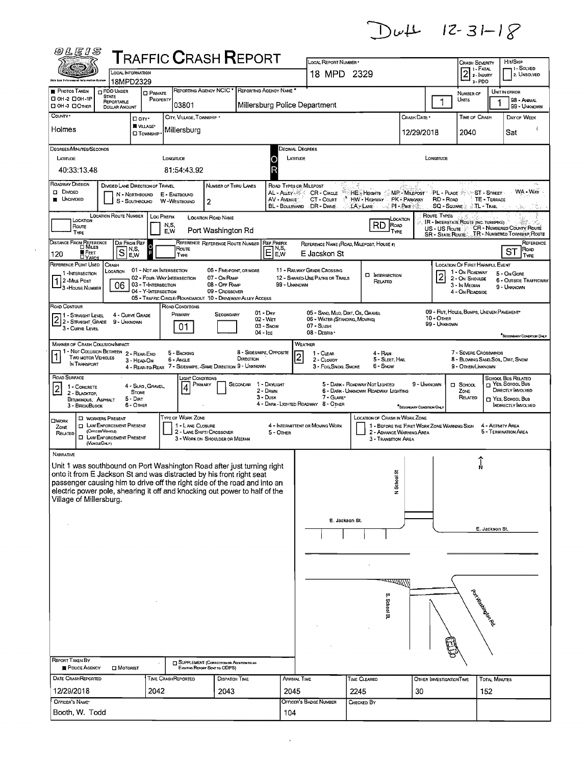$DwL$  12-31-18

| <b>@LEIS</b>                                                                                                                                      |                                                       |                                                   |                   |                            | ${\sf T}$ RAFFIC ${\sf C}$ RASH ${\sf R}$ EPORT                               |                       |                        |                |                                                    |      |                                                                       |                           |                                          |                                                         |                                    |                                          |                                                            |
|---------------------------------------------------------------------------------------------------------------------------------------------------|-------------------------------------------------------|---------------------------------------------------|-------------------|----------------------------|-------------------------------------------------------------------------------|-----------------------|------------------------|----------------|----------------------------------------------------|------|-----------------------------------------------------------------------|---------------------------|------------------------------------------|---------------------------------------------------------|------------------------------------|------------------------------------------|------------------------------------------------------------|
|                                                                                                                                                   | <b>LOCAL INFORMATION</b>                              |                                                   |                   |                            |                                                                               |                       |                        |                | LOCAL REPORT NUMBER *                              |      |                                                                       |                           |                                          | Crash Severity<br>1 - Fatal                             |                                    | HIT/SKIP                                 | 1 - SOLVED                                                 |
| <b>Obly Law Enforcement Information System</b>                                                                                                    | 18MPD2329                                             |                                                   |                   |                            |                                                                               |                       |                        |                | 18 MPD 2329                                        |      |                                                                       |                           |                                          | $21-FATAL$<br>3-PDO                                     |                                    |                                          | 2. UNSOLVED                                                |
| <b>PHOTOS TAKEN</b>                                                                                                                               | PDO UNDER<br><b>STATE</b>                             | <b>O</b> PRIVATE                                  |                   |                            | REPORTING AGENCY NCIC * REPORTING AGENCY NAME                                 |                       |                        |                |                                                    |      |                                                                       |                           |                                          | NUMBER OF                                               |                                    | UNIT IN ERROR                            |                                                            |
| □ 0Н-2 □ 0Н-1Р<br>OH 3 DOTHER                                                                                                                     | REPORTABLE<br><b>DOLLAR AMOUNT</b>                    | PROPERTY                                          |                   | 03801                      |                                                                               |                       |                        |                | Millersburg Police Department                      |      |                                                                       |                           | 1                                        | Units                                                   |                                    |                                          | 98 - ANNAL<br>99 - UNKNOWN                                 |
| COUNTY ·                                                                                                                                          |                                                       | □ arr·                                            |                   | CITY, VILLAGE, TOWNSHIP *  |                                                                               |                       |                        |                |                                                    |      |                                                                       | CRASH DATE                |                                          | TIME OF CRASH                                           |                                    |                                          | DAY OF WEEK                                                |
| Holmes                                                                                                                                            |                                                       | <b>WILLAGE*</b><br><b>O</b> TOWNSHIP              |                   | Millersburg                |                                                                               |                       |                        |                |                                                    |      |                                                                       | 12/29/2018                |                                          | 2040                                                    |                                    | Sat                                      |                                                            |
|                                                                                                                                                   |                                                       |                                                   |                   |                            |                                                                               |                       |                        |                |                                                    |      |                                                                       |                           |                                          |                                                         |                                    |                                          |                                                            |
| DEGREES/MINUTES/SECONDS<br>LATITUDE                                                                                                               |                                                       |                                                   | LONGITUDE         |                            |                                                                               |                       |                        | LATITUDE       | Decimal Degrees                                    |      |                                                                       |                           | LONGITUDE                                |                                                         |                                    |                                          |                                                            |
| 40:33:13.48                                                                                                                                       |                                                       |                                                   |                   | 81:54:43.92                |                                                                               |                       |                        |                |                                                    |      |                                                                       |                           |                                          |                                                         |                                    |                                          |                                                            |
| ROADWAY DIVISION                                                                                                                                  | DIVIDED LANE DIRECTION OF TRAVEL                      |                                                   |                   |                            | NUMBER OF THRU LANES                                                          |                       |                        |                | ROAD TYPES OR MILEPOST                             |      |                                                                       |                           |                                          |                                                         |                                    |                                          |                                                            |
| <b>O</b> DIVIDED                                                                                                                                  | N - NORTHBOUND                                        |                                                   | E - EASTBOUND     |                            |                                                                               |                       | AL - ALLEY® AZ         |                | CR - Cincut                                        |      | HE HEIGHTS MP - MILEPOST                                              |                           | <b>PL - PLACE SPAR</b>                   |                                                         | ST - STREET                        |                                          | WA-WAY                                                     |
| <b>UNDIVIDED</b>                                                                                                                                  | S - Southbound                                        |                                                   | W-WESTBOUND       |                            | 2                                                                             |                       | AV - AVENUE            |                | CT - COURT<br>BL - BOULEVARD DR - DRIVE            |      | HW HIGHWAY PK - PARKWAY<br>LA LANE                                    | ⊸√. PI - Pike ∕ ⊚         | RD - Road<br>SQ - SQUARE                 |                                                         | <b>TE - TERRACE</b><br>∴TL - Trail |                                          | r Bar                                                      |
| LOCATION                                                                                                                                          | <b>LOCATION ROUTE NUMBER</b>                          |                                                   | <b>LOC PREFIX</b> |                            | <b>LOCATION ROAD NAME</b>                                                     |                       |                        |                |                                                    |      |                                                                       | LOCATION                  | Route Types                              | IR - INTERSTATE ROUTE (INC. TURNPIKE)                   |                                    |                                          |                                                            |
| Route<br>TYPE                                                                                                                                     |                                                       |                                                   | NS,<br>E,W        |                            | Port Washington Rd                                                            |                       |                        |                |                                                    |      | RD<br>ROAD<br>- Type                                                  |                           | US - US Route<br><b>SR - State Route</b> |                                                         |                                    |                                          | CR - NUMBERED COUNTY ROUTE<br>TR - NUMBERED TOWNSHIP ROUTE |
| DISTANCE FROM REFERENCE                                                                                                                           | DIR FROM REF<br>1 N,S,                                | ူ                                                 |                   | Route                      | REFERENCE REFERENCE ROUTE NUMBER                                              |                       | REF PREFIX<br>N,S,     |                | REFERENCE NAME (ROAD, MILEPOST, HOUSE #)           |      |                                                                       |                           |                                          |                                                         |                                    |                                          | REFERENCE<br>Road                                          |
| <b>E</b> FEET<br>120                                                                                                                              | $\mathbf S$<br>E,W                                    |                                                   |                   | Type                       |                                                                               |                       | E<br>E,W               |                | E Jacskon St                                       |      |                                                                       |                           |                                          |                                                         |                                    | ST                                       | TYPE                                                       |
| REFERENCE POINT USED<br>1 - INTERSECTION                                                                                                          | CRASH<br>LOCATION                                     | 01 - Not an Intersection                          |                   |                            | 06 - FIVE-POINT, OR MORE                                                      |                       |                        |                | 11 - RAILWAY GRADE CROSSING                        |      | <b>D</b> INTERSECTION                                                 |                           | $\overline{2}$                           | LOCATION OF FIRST HARMFUL EVENT<br>1 - On ROADWAY       |                                    | 5 - On Gore                              |                                                            |
| 1 2 - Mile Post<br>3 - HOUSE NUMBER                                                                                                               | 06                                                    | 02 - FOUR-WAY INTERSECTION<br>03 - T-INTERSECTION |                   |                            | 07 - On RAMP<br>08 - OFF RAMP                                                 |                       |                        | 99 - UNKNOWN   | 12 - SHARED-USE PATHS OR TRAILS                    |      | Related                                                               |                           |                                          | 2 - ON SHOULDE<br>3 - In Median                         |                                    | 9 - UNKNOWN                              | 6 - OUTSIDE TRAFFICWAY                                     |
|                                                                                                                                                   |                                                       | 04 - Y-INTERSECTION                               |                   |                            | 09 - Crossover<br>05 - TRAFFIC CIRCLE/ ROUNDABOUT 10 - DRIVEWAY/ ALLEY ACCESS |                       |                        |                |                                                    |      |                                                                       |                           |                                          | 4 - On ROADSIDE                                         |                                    |                                          |                                                            |
| ROAD CONTOUR                                                                                                                                      | 4 - CURVE GRADE                                       |                                                   |                   | ROAD CONDITIONS<br>Primary | SECONDARY                                                                     |                       | $01 - Draw$            |                | 05 - SAND, MUD, DIRT, OIL GRAVEL                   |      |                                                                       |                           |                                          | 09 - RUT, HOLES, BUMPS, UNEVEN PAVEMENT*                |                                    |                                          |                                                            |
| 1 - STRAIGHT LEVEL<br>2 2 - STRAIGHT LEVEL                                                                                                        | 9 - UNKNOWN                                           |                                                   |                   | 01                         |                                                                               |                       | 02 - WET<br>03 - Snow  |                | 06 - WATER (STANDING, MOVING)<br>07 - SLUSH        |      |                                                                       |                           | 10 - OTHER<br>99 - UNKNOWN               |                                                         |                                    |                                          |                                                            |
| 3 - CURVE LEVEL                                                                                                                                   |                                                       |                                                   |                   |                            |                                                                               |                       | 04 - Ice               |                | 08 - DEBRIS                                        |      |                                                                       |                           |                                          |                                                         |                                    |                                          | SECONDARY CONDITION ONLY                                   |
| <b>MANNER OF CRASH COLLISION IMPACT</b>                                                                                                           | 1 - Not Collision Between 2 - REAR-END                |                                                   |                   | 5 - BACKING                |                                                                               |                       | 8 - SIDESWPE, OPPOSITE |                | WEATHER<br>1 - CLEAR                               |      | 4 - Ran                                                               |                           |                                          | 7 - SEVERE CROSSWINDS                                   |                                    |                                          |                                                            |
| TWO MOTOR VEHICLES<br>IN TRANSPORT                                                                                                                | 3 - HEAD-ON                                           |                                                   |                   | 6 - Angle                  | 4 - REAR-TO-REAR 7 - SIDESWIPE, -SAME DIRECTION 9 - UNKNOWN                   | DIRECTION             |                        | $\overline{c}$ | 2 - CLOUDY<br>3 - Fog, Smog, Smoke                 |      | 5 - Sleet, Hal<br>6 - Snow                                            |                           |                                          | 8 - BLOWING SAND, SOIL, DIRT, SNOW<br>9 - Other/Unknown |                                    |                                          |                                                            |
| ROAD SURFACE                                                                                                                                      |                                                       |                                                   |                   | LIGHT CONDITIONS           |                                                                               |                       |                        |                |                                                    |      |                                                                       |                           |                                          |                                                         |                                    | <b>SCHOOL BUS RELATED</b>                |                                                            |
| 2<br>1 - CONCRETE                                                                                                                                 | <b>STONE</b>                                          | 4 - Slag, Gravel,                                 |                   | PRIMARY<br>$\overline{4}$  |                                                                               | SECONDAR 1 - DAYLIGHT | 2 - DAWN               |                |                                                    |      | 5 - DARK - ROADWAY NOT LIGHTED<br>6 - DARK - UNKNOWN ROADWAY LIGHTING |                           | 9 - UNKNOWN                              | $\Box$ School<br>ZONE                                   |                                    | NES, SCHOOL BUS<br>DIRECTLY INVOLVED     |                                                            |
| 2 - BLACKTOP,<br>BITUMINOUS, ASPHALT<br>3 - BRICK/BLOCK                                                                                           | 5 - Dirt<br>6 - OTHER                                 |                                                   |                   |                            |                                                                               |                       | $3 - D$ USK            |                | 7 - GLARE*<br>4 - DARK - LIGHTED ROADWAY 8 - OTHER |      |                                                                       |                           |                                          | RELATED                                                 |                                    | T YES, SCHODL BUS<br>INDIRECTLY INVOLVED |                                                            |
|                                                                                                                                                   | <b>D</b> WORKERS PRESENT                              |                                                   |                   | TYPE OF WORK ZONE          |                                                                               |                       |                        |                |                                                    |      | LOCATION OF CRASH IN WORK ZONE                                        | "SECONDARY CONDITION ONLY |                                          |                                                         |                                    |                                          |                                                            |
| <b>OWORK</b><br>ZONE                                                                                                                              | <b>D</b> LAW ENFORCEMENT PRESENT<br>(OFFICER/VEHICLE) |                                                   |                   | 1 - L ANE CLOSURE          |                                                                               |                       |                        |                | 4 - INTERMITTENT OR MOVING WORK                    |      | 1 - BEFORE THE FIRST WORK ZONE WARNING SIGN                           |                           |                                          |                                                         | 4 - ACTMTY AREA                    | 5 - TERMINATION AREA                     |                                                            |
| RELATED                                                                                                                                           | <b>D</b> LAW ENFORCEMENT PRESENT<br>(VEHICLEONLY)     |                                                   |                   |                            | 2 - LANE SHIFT/ CROSSOVER<br>3 - WORK ON SHOULDER OR MEDIAN                   |                       | 5 - OTHER              |                |                                                    |      | 2 - ADVANCE WARNING AREA<br>3 - TRANSITION AREA                       |                           |                                          |                                                         |                                    |                                          |                                                            |
| NARRATIVE                                                                                                                                         |                                                       |                                                   |                   |                            |                                                                               |                       |                        |                |                                                    |      |                                                                       |                           |                                          |                                                         |                                    |                                          |                                                            |
| Unit 1 was southbound on Port Washington Road after just turning right                                                                            |                                                       |                                                   |                   |                            |                                                                               |                       |                        |                |                                                    |      |                                                                       |                           |                                          | ĵ,                                                      |                                    |                                          |                                                            |
| onto it from E Jackson St and was distracted by his front right seat<br>passenger causing him to drive off the right side of the road and into an |                                                       |                                                   |                   |                            |                                                                               |                       |                        |                |                                                    |      | ぢ                                                                     |                           |                                          |                                                         |                                    |                                          |                                                            |
| electric power pole, shearing it off and knocking out power to half of the                                                                        |                                                       |                                                   |                   |                            |                                                                               |                       |                        |                |                                                    |      | N School                                                              |                           |                                          |                                                         |                                    |                                          |                                                            |
| Village of Millersburg.                                                                                                                           |                                                       |                                                   |                   |                            |                                                                               |                       |                        |                |                                                    |      |                                                                       |                           |                                          |                                                         |                                    |                                          |                                                            |
|                                                                                                                                                   |                                                       |                                                   |                   |                            |                                                                               |                       |                        |                | E. Jackson St.                                     |      |                                                                       |                           |                                          |                                                         |                                    |                                          |                                                            |
|                                                                                                                                                   |                                                       |                                                   |                   |                            |                                                                               |                       |                        |                |                                                    |      |                                                                       |                           |                                          |                                                         | E. Jackson St.                     |                                          |                                                            |
|                                                                                                                                                   |                                                       |                                                   |                   |                            |                                                                               |                       |                        |                |                                                    |      |                                                                       |                           |                                          |                                                         |                                    |                                          |                                                            |
|                                                                                                                                                   |                                                       |                                                   |                   |                            |                                                                               |                       |                        |                |                                                    |      |                                                                       |                           |                                          |                                                         |                                    |                                          |                                                            |
|                                                                                                                                                   |                                                       |                                                   |                   |                            |                                                                               |                       |                        |                |                                                    |      |                                                                       |                           |                                          |                                                         |                                    |                                          |                                                            |
|                                                                                                                                                   |                                                       |                                                   |                   |                            |                                                                               |                       |                        |                |                                                    |      |                                                                       |                           |                                          |                                                         |                                    |                                          |                                                            |
|                                                                                                                                                   |                                                       |                                                   |                   |                            |                                                                               |                       |                        |                |                                                    |      |                                                                       |                           |                                          | Part Magnitago                                          |                                    |                                          |                                                            |
|                                                                                                                                                   |                                                       |                                                   |                   |                            |                                                                               |                       |                        |                |                                                    |      | S. School St                                                          |                           |                                          |                                                         |                                    |                                          |                                                            |
|                                                                                                                                                   |                                                       |                                                   |                   |                            |                                                                               |                       |                        |                |                                                    |      |                                                                       |                           |                                          |                                                         |                                    |                                          |                                                            |
|                                                                                                                                                   |                                                       |                                                   |                   |                            |                                                                               |                       |                        |                |                                                    |      |                                                                       |                           |                                          |                                                         |                                    |                                          |                                                            |
|                                                                                                                                                   |                                                       |                                                   |                   |                            |                                                                               |                       |                        |                |                                                    |      |                                                                       |                           |                                          |                                                         |                                    |                                          |                                                            |
| REPORT TAKEN BY                                                                                                                                   |                                                       |                                                   |                   |                            | SUPPLEMENT (CORRECTION OR ADDITION TO AN                                      |                       |                        |                |                                                    |      |                                                                       |                           |                                          |                                                         |                                    |                                          |                                                            |
| POLICE AGENCY                                                                                                                                     | $\Box$ Motorist                                       |                                                   |                   |                            | EXIATING REPORT SENT TO ODPS)                                                 |                       |                        |                |                                                    |      |                                                                       |                           |                                          |                                                         |                                    |                                          |                                                            |
| DATE CRASHREPORTED                                                                                                                                |                                                       |                                                   |                   | <b>TIME CRASHREPORTED</b>  | DISPATCH TIME                                                                 |                       |                        | ARRIVAL TIME   |                                                    |      | TIME CLEARED                                                          |                           | OTHER INVESTIGATION TIME                 |                                                         | <b>TOTAL MINUTES</b>               |                                          |                                                            |
| 12/29/2018<br>OFFICER'S NAME*                                                                                                                     |                                                       | 2042                                              |                   |                            | 2043                                                                          |                       |                        | 2045           | OFFICER'S BADGE NUMBER                             | 2245 | CHECKED BY                                                            | 30                        |                                          |                                                         | 152                                |                                          |                                                            |
| Booth, W. Todd                                                                                                                                    |                                                       |                                                   |                   |                            |                                                                               |                       |                        | 104            |                                                    |      |                                                                       |                           |                                          |                                                         |                                    |                                          |                                                            |
|                                                                                                                                                   |                                                       |                                                   |                   |                            |                                                                               |                       |                        |                |                                                    |      |                                                                       |                           |                                          |                                                         |                                    |                                          |                                                            |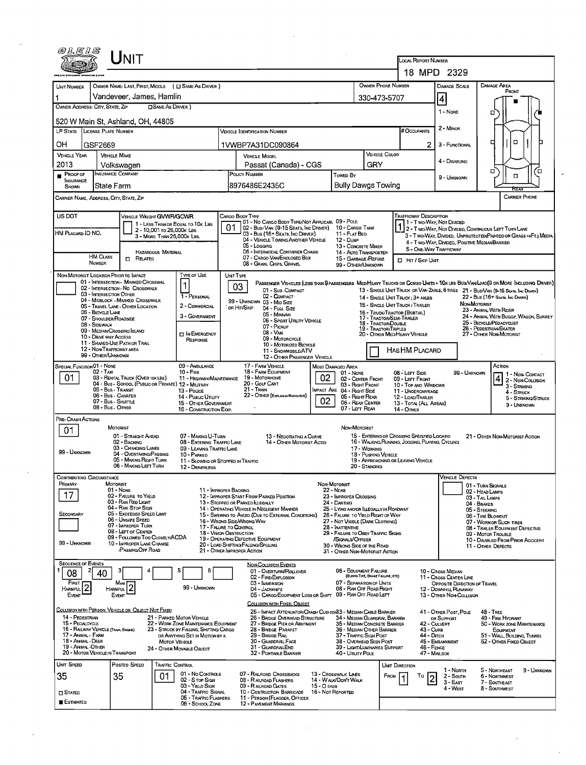| @LE1S                                        | <b>NIT</b>                                                                      |                                                                                |                                                                                                        |                                                                                                          |                                                                            |                                                              | <b>LOCAL REPORT NUMBER</b>                                                                      |                                                       |                                                                                                                                                                                                                   |  |
|----------------------------------------------|---------------------------------------------------------------------------------|--------------------------------------------------------------------------------|--------------------------------------------------------------------------------------------------------|----------------------------------------------------------------------------------------------------------|----------------------------------------------------------------------------|--------------------------------------------------------------|-------------------------------------------------------------------------------------------------|-------------------------------------------------------|-------------------------------------------------------------------------------------------------------------------------------------------------------------------------------------------------------------------|--|
|                                              |                                                                                 |                                                                                |                                                                                                        |                                                                                                          |                                                                            |                                                              |                                                                                                 | 18 MPD 2329                                           |                                                                                                                                                                                                                   |  |
| UNIT NUMBER                                  |                                                                                 | OWNER NAME: LAST, FIRST, MIDDLE ( C SAME AS DRIVER )                           |                                                                                                        |                                                                                                          |                                                                            | <b>OWNER PHONE NUMBER</b>                                    |                                                                                                 | <b>DAMAGE SCALE</b>                                   | <b>DAMAGE AREA</b>                                                                                                                                                                                                |  |
|                                              | Vandeveer, James, Hamlin                                                        |                                                                                |                                                                                                        |                                                                                                          |                                                                            | 330-473-5707                                                 |                                                                                                 | $\vert 4 \vert$                                       | FRONT                                                                                                                                                                                                             |  |
| OWNER ADDRESS: CITY, STATE, ZIP              |                                                                                 | <b>SAME AS DRIVER</b> )                                                        |                                                                                                        |                                                                                                          |                                                                            |                                                              |                                                                                                 | 1 - None                                              | о                                                                                                                                                                                                                 |  |
|                                              | 520 W Main St, Ashland, OH, 44805                                               |                                                                                |                                                                                                        |                                                                                                          |                                                                            |                                                              |                                                                                                 |                                                       |                                                                                                                                                                                                                   |  |
|                                              | LP STATE LICENSE PLATE NUMBER                                                   |                                                                                |                                                                                                        | Vehicle Identification Number                                                                            |                                                                            |                                                              | # Occupants                                                                                     | 2 - MINOR                                             |                                                                                                                                                                                                                   |  |
| OΗ                                           | GSF2669                                                                         |                                                                                |                                                                                                        | 1VWBP7A31DC090864                                                                                        |                                                                            |                                                              | 2                                                                                               | 3 - FUNCTIONAL                                        | O<br>п                                                                                                                                                                                                            |  |
| <b>VEHICLE YEAR</b>                          | <b>VEHICLE MAKE</b>                                                             |                                                                                |                                                                                                        | <b>VEHICLE MODEL</b>                                                                                     |                                                                            | <b>VEHICLE COLOR</b>                                         |                                                                                                 | 4 - DISABLING                                         |                                                                                                                                                                                                                   |  |
| 2013                                         | Volkswagen                                                                      |                                                                                |                                                                                                        | Passat (Canada) - CGS                                                                                    |                                                                            | GRY                                                          |                                                                                                 |                                                       | о<br>□                                                                                                                                                                                                            |  |
| <b>PROOF OF</b><br><b>INSURANCE</b><br>SHOWN | <b>INSURANCE COMPANY</b><br>State Farm                                          |                                                                                |                                                                                                        | POLICY NUMBER<br>8976486E2435C                                                                           | Towed By                                                                   | <b>Bully Dawgs Towing</b>                                    |                                                                                                 | 9 - UNKNOWN                                           | $\Box$<br>ਵਿਸ਼ਨਾ                                                                                                                                                                                                  |  |
|                                              | Carrier Name, Address, City, State, Zip                                         |                                                                                |                                                                                                        |                                                                                                          |                                                                            |                                                              |                                                                                                 |                                                       | <b>CARRIER PHONE</b>                                                                                                                                                                                              |  |
| US DOT                                       |                                                                                 | VEHICLE WEIGHT GWWR/GCWR                                                       | CARGO BODY TYPE                                                                                        |                                                                                                          |                                                                            |                                                              | TRAFFICWAY DESCRIPTION                                                                          |                                                       |                                                                                                                                                                                                                   |  |
|                                              |                                                                                 | 1 - LESS THAN OR EQUAL TO 10K LBS<br>2 - 10,001 to 26,000k Las                 | 01                                                                                                     | 01 - No CARGO BODY TYPE/NOT APPLICABL 09 - POLE<br>02 - Bus/Van (9-15 Seats, Inc Driver) 10 - Cargo Tank |                                                                            |                                                              |                                                                                                 | 1 - Two-Way, Not Divided                              | 1 2 - T WO-WAY, NOT DIVIDED, CONTINUOUS LEFT TURN LANE                                                                                                                                                            |  |
| HM PLACARD ID NO.                            |                                                                                 | 3 - MORE THAN 26,000K LBS.                                                     |                                                                                                        | 03 - Bus (16+ Seats, Inc Driver)<br>04 - VEHICLE TOWING ANOTHER VEHICLE                                  | 11 - FLAT BED<br>$12 - D$ uMP                                              |                                                              |                                                                                                 | 4 - Two-Way, Divided, Positive MedianBarrier          | 3 - T WO-WAY, DIMDED, UNPROTECTED (PAINTED OR GRASS >4FT.) MEDIA                                                                                                                                                  |  |
|                                              |                                                                                 | <b>HAZARDOUS MATERIAL</b>                                                      |                                                                                                        | 05 - Logging<br>06 - INTERMODAL CONTAINER CHASIS                                                         |                                                                            | 13 - CONCRETE MIXER<br>14 - AUTO TRANSPORTER                 |                                                                                                 | 5 - ONE-WAY TRAFFICWAY                                |                                                                                                                                                                                                                   |  |
|                                              | <b>HM CLASS</b><br><b>D</b> RELATED<br><b>NUMBER</b>                            |                                                                                | 07 - CARGO VAN/ENCLOSED BOX<br>15 - GARBAGE /REFUSE<br>08 - GRAIN, CHIPS, GRAVEL<br>99 - OTHER/UNKNOWN |                                                                                                          |                                                                            |                                                              | <b>D</b> Hit / Skip Unit                                                                        |                                                       |                                                                                                                                                                                                                   |  |
|                                              | NON-MOTORIST LOCATION PRIOR TO IMPACT<br>01 - INTERSECTION - MARKED CROSSWAL    | Type of Use                                                                    | UNIT TYPE                                                                                              |                                                                                                          |                                                                            |                                                              |                                                                                                 |                                                       |                                                                                                                                                                                                                   |  |
|                                              | 02 - INTERSECTION - NO CROSSWALK<br>03 - INTERSECTION OTHER                     | $\vert$ 1                                                                      | 03                                                                                                     | 01 - Sub COMPACT                                                                                         |                                                                            |                                                              |                                                                                                 |                                                       | PASSENGER VEHICLES (LESS THAN 9 PASSENGERS MEDIMEANY TRUCKS OR COMBO UNTS > 10K LBS BUS/VANLIMO(9 OR MORE INCLUDING DRIVER)<br>13 - SINGLE UNIT TRUCK OR VAN 2AXLE, 6 TIRES 21 - BUS/VAN (9-15 SEATS, INC DRIVER) |  |
|                                              | 04 - MIDBLOCK - MARKED CROSSWALK<br>05 - TRAVEL LANE - OTHER LOCATION           | <b>1 - PERSONAL</b><br>2 - COMMERCIAL                                          |                                                                                                        | 02 - COMPACT<br>99 - UNKNOWN 03 - MID SIZE                                                               |                                                                            |                                                              | 14 - SINGLE UNIT TRUCK: 3+ AXLES<br>15 - SINGLE UNIT TRUCK / TRAILER                            |                                                       | 22 - Bus (16+ Seats, Inc Driver)<br>NON-MOTORIST                                                                                                                                                                  |  |
|                                              | 06 - BICYCLE LANE<br>07 - SHOULDER/ROADSIDE                                     | 3 - GOVERNMENT                                                                 | OR HIT/SKIP                                                                                            | 04 - FULL SIZE<br>05 - MINIVAN                                                                           |                                                                            |                                                              | 16 - TRUCK/TRACTOR (BOBTAIL)<br>17 - TRACTOR/SEMI-TRALER                                        |                                                       | 23 - ANIMAL WITH RIDER<br>24 - ANIMAL WITH BUGGY, WAGON, SURREY                                                                                                                                                   |  |
|                                              | 08 - SIDEWALK<br>09 - MEDIAN/CROSSING ISLAND                                    |                                                                                |                                                                                                        | 06 - Sport Utility Vehicle<br>07 - Pickup                                                                |                                                                            | 18 - Tractor/Dousle<br>19 - TRACTOR/TRIPLES                  |                                                                                                 |                                                       | 25 - BICYCLE/PEDACYCLIST<br>26 - PEDESTRIAN/SKATER                                                                                                                                                                |  |
|                                              | 10 - DRIVE WAY ACCESS                                                           | IN EMERGENCY<br>RESPONSE                                                       |                                                                                                        | 08 - VAN<br>09 - MOTORCYCLE                                                                              |                                                                            |                                                              | 20 - OTHER MED/HEAVY VEHICLE                                                                    |                                                       | 27 - OTHER NON-MOTORIST                                                                                                                                                                                           |  |
|                                              | 11 - SHARED-USE PATH OR TRAIL<br>12 - NON-TRAFFICWAY AREA<br>99 - OTHER/UNKNOWN |                                                                                |                                                                                                        | 10 - MOTORIZED BICYCLE<br>11 - SNOWMOBILE/ATV                                                            |                                                                            |                                                              | Has HM Placard                                                                                  |                                                       |                                                                                                                                                                                                                   |  |
| SPECIAL FUNCTION 01 - NONE                   |                                                                                 | 09 - AMBULANCE                                                                 |                                                                                                        | 12 - OTHER PASSENGER VEHICLE<br>17 - FARM VEHICLE                                                        | <b>MOST DAMAGED AREA</b>                                                   |                                                              |                                                                                                 |                                                       | Аспом                                                                                                                                                                                                             |  |
| 01                                           | 02 - TAXI<br>03 - RENTAL TRUCK (OVER 10KLBS)                                    | $10 -$ Fire<br>11 - HIGHWAY/MAINTENANCE                                        |                                                                                                        | 18 - FARM EQUIPMENT<br>19 - Мотокноме                                                                    | 01 - None<br>02                                                            | 02 - CENTER FRONT                                            | 08 - LEFT SDE<br>09 - LEFT FRONT                                                                | 99 - UNKNOWN                                          | 1 1 - Non-Contact                                                                                                                                                                                                 |  |
|                                              | 05 - Bus - Transit                                                              | 04 - Bus - SCHOOL (PUBLIC OR PRIVATE) 12 - MILITARY<br>13 - Pouce              |                                                                                                        | 20 - Gour CART<br>21 - TRAIN                                                                             | MPACT ARE 04 - RIGHT SIDE                                                  | 03 - Right Front                                             | 10 - TOP AND WINDOWS<br>11 - UNDERCARRIAGE                                                      |                                                       | 2 - Non-Collision<br>3 - Striking<br>4 - STRUCK                                                                                                                                                                   |  |
|                                              | 06 - Bus - Charter<br>07 - Bus - SHUTTLE                                        | 14 - Puauc Unury<br>15 - OTHER GOVERNMENT                                      |                                                                                                        | 22 - OTHER (EXPLANDI NARRATIVE)                                                                          | 02                                                                         | 05 - RIGHT REAR<br>06 - REAR CENTER                          | 12 - LOAD/TRAILER<br>13 - TOTAL (ALL AREAS)                                                     |                                                       | 5 - STRIKING/STRUCK                                                                                                                                                                                               |  |
|                                              | 08 - Bus - OTHER                                                                | 16 - CONSTRUCTION EQLP.                                                        |                                                                                                        |                                                                                                          |                                                                            | 07 - LEFT REAR                                               | 14 - OTHER                                                                                      |                                                       | 9 - UNKNOWN                                                                                                                                                                                                       |  |
| PRE-CRASH ACTIONS<br>01                      | <b>MOTORIST</b>                                                                 |                                                                                |                                                                                                        |                                                                                                          |                                                                            | NON-MOTORIST                                                 |                                                                                                 |                                                       |                                                                                                                                                                                                                   |  |
|                                              | 01 - STRAIGHT AHEAD<br>02 - BACKING                                             | 07 - MAKING U-TURN<br>08 - ENTERING TRAFFIC LANE                               |                                                                                                        | 13 - NEGOTIATING A CURVE<br>14 - OTHER MOTORIST ACTIO                                                    |                                                                            |                                                              | 15 - ENTERING OR CROSSING SPECIFIED LOCATIO<br>16 - WALKING, RUNNING, JOGGING, PLAYING, CYCLING |                                                       | 21 - OTHER NON-MOTORIST ACTION                                                                                                                                                                                    |  |
| 99 - UNKNOWN                                 | 03 - CHANGING LANES<br>04 - OVERTAKING/PASSING                                  | 09 - LEAVING TRAFFIC LANE<br>10 - PARKED                                       |                                                                                                        |                                                                                                          |                                                                            | 17 - Working<br>18 - PUSHING VEHICLE                         |                                                                                                 |                                                       |                                                                                                                                                                                                                   |  |
|                                              | 05 - MAKING RIGHT TURN<br>06 - MAKING LEFT TURN                                 | 11 - SLOWING OR STOPPED IN TRAFFIC<br>12 - DRIVERLESS                          |                                                                                                        |                                                                                                          |                                                                            | 20 - Standing                                                | 19 - APPROACHING OR LEAVING VEHICLE                                                             |                                                       |                                                                                                                                                                                                                   |  |
| CONTRIBUTING CIRCUMSTANCE                    |                                                                                 |                                                                                |                                                                                                        |                                                                                                          |                                                                            |                                                              |                                                                                                 | <b>VEHICLE DEFECTS</b>                                |                                                                                                                                                                                                                   |  |
| PRIMARY                                      | MOTORIST<br>01 - NONE                                                           |                                                                                | 11 - IMPROPER BACKING                                                                                  |                                                                                                          | Non-Motorist<br><b>22 - None</b>                                           |                                                              |                                                                                                 |                                                       | 01 - TURN SIGNALS<br>02 - HEAD LAMPS                                                                                                                                                                              |  |
| 17                                           | 02 - FAILURE TO YIELD<br>03 - RAN RED LIGHT                                     |                                                                                |                                                                                                        | 12 - IMPROPER START FROM PARKED POSITION<br>13 - Stopped or PARKED LLEGALLY                              | 23 - IMPROPER CROSSING<br>24 - DARTING                                     |                                                              |                                                                                                 |                                                       | 03 - TAIL LAMPS<br>04 - BRAKES                                                                                                                                                                                    |  |
| SECONDARY                                    | 04 - RAN STOP SIGN<br>05 - Exceedeo Speed Limit                                 |                                                                                |                                                                                                        | 14 - OPERATING VEHICLE IN NEGLIGENT MANNER<br>15 - Swering to Avoid (Due to External Conditions)         | 25 - LYING AND/OR LLEGALLY IN ROADWAY<br>26 - FALURE TO YIELD RIGHT OF WAY |                                                              |                                                                                                 |                                                       | 05 - STEERING<br>06 - TIRE BLOWOUT                                                                                                                                                                                |  |
|                                              | 06 - UNSAFE SPEED<br>07 - IMPROPER TURN                                         |                                                                                | 17 - FALURE TO CONTROL                                                                                 | 16 - Wrong Side/Wrong Way                                                                                | 27 - NOT VISIBLE (DARK CLOTHING)<br>28 - Inattentive                       |                                                              |                                                                                                 |                                                       | 07 - WORN OR SLICK TIRES<br>08 - TRAILER EQUIPMENT DEFECTIVE                                                                                                                                                      |  |
|                                              | 08 - LEFT OF CENTER<br>09 - FOLLOWED TOO CLOSELY/ACDA                           |                                                                                | 18 - VISION OBSTRUCTION                                                                                | 19 - OPERATING DEFECTIVE EQUIPMENT                                                                       | 29 - FAILURE TO OBEY TRAFFIC SIGNS<br>/SIGNALS/OFFICER                     |                                                              |                                                                                                 |                                                       | 09 - MOTOR TROUBLE<br>10 - DISABLED FROM PRIOR ACCIDENT                                                                                                                                                           |  |
| 99 - UNKNOWN                                 | 10 - IMPROPER LANE CHANGE<br>/PASSING/OFF ROAD                                  |                                                                                | 21 - OTHER IMPROPER ACTION                                                                             | 20 - LOAD SHIFTING/FALLING/SPILLING                                                                      | 30 - WRONG SIDE OF THE ROAD<br>31 - OTHER NON-MOTORIST ACTION              |                                                              |                                                                                                 |                                                       | 11 - OTHER DEFECTS                                                                                                                                                                                                |  |
| <b>SEQUENCE OF EVENTS</b>                    |                                                                                 | 5<br>6                                                                         |                                                                                                        | <b>NON-COLLISION EVENTS</b>                                                                              |                                                                            | 06 - EQUIPMENT FAILURE                                       |                                                                                                 |                                                       |                                                                                                                                                                                                                   |  |
| 08                                           | 40                                                                              |                                                                                |                                                                                                        | 01 - Overturn/Rollover<br>02 - FIRE/EXPLOSION                                                            |                                                                            | (BLOWN TIRE, BRAKE FAILURE, ETC)<br>07 - SEPARATION OF UNITS |                                                                                                 | 10 - Cross Median<br>11 - Cross CENTER LINE           |                                                                                                                                                                                                                   |  |
| FIRST<br>HARMFUL <sup>2</sup>                | Mos.<br><b>HARMFUL</b>                                                          | 99 - Unknown                                                                   |                                                                                                        | 03 - IMMERSION<br>04 - JACKKNIFE<br>05 - CARGO/EQUIPMENT LOSS OR SHIFT 09 - RAN OFF ROAD LEFT            |                                                                            | 08 - RAN OFF ROAD RIGHT                                      |                                                                                                 | OPPOSITE DIRECTION OF TRAVEL<br>12 - DOWNHILL RUNAWAY |                                                                                                                                                                                                                   |  |
| EVENT                                        | <b>EVENT</b>                                                                    |                                                                                |                                                                                                        | COLLISION WITH FIXED, OBJECT                                                                             |                                                                            |                                                              |                                                                                                 | 13 - OTHER NON-COLLISION                              |                                                                                                                                                                                                                   |  |
| 14 - PEDESTRIAN                              | COLLISION WITH PERSON, VEHICLE OR OBJECT NOT FIXED                              | 21 - PARKED MOTOR VEHICLE                                                      |                                                                                                        | 25 - IMPACT ATTENUATOR/CRASH CUSHION33 - MEDIAN CABLE BARRIER<br>26 - BRIDGE OVERHEAD STRUCTURE          |                                                                            | 34 - MEDIAN GUARDRAIL BARRIER                                |                                                                                                 | 41 - OTHER POST, POLE<br>OR SUPPORT                   | $48 - THEE$<br>49 - FIRE HYDRANT                                                                                                                                                                                  |  |
| 15 - PEDALCYCLE                              | 16 - RAILWAY VEHICLE (TRAIN, ENGINE)                                            | 22 - WORK ZONE MAINTENANCE EQUIPMENT<br>23 - STRUCK BY FALLING, SHIFTING CARGO |                                                                                                        | 27 - BRIDGE PIER OR ABUTMENT<br>28 - BRIDGE PARAPET                                                      |                                                                            | 35 - MEDIAN CONCRETE BARRIER<br>36 - MEDIAN OTHER BARRIER    | <b>43 - CURB</b>                                                                                | 42 - CULVERT                                          | 50 - WORK ZONE MAINTENANCE<br>EOUPMENT                                                                                                                                                                            |  |
| 17 - Animal - Farm<br>18 - ANMAL - DEER      |                                                                                 | OR ANYTHING SET IN MOTION BY A<br><b>MOTOR VEHICLE</b>                         |                                                                                                        | 29 - BRIDGE RAIL<br>30 - GUARDRAIL FACE                                                                  |                                                                            | 37 - TRAFFIC SIGN POST<br>38 - Overhead Sign Post            | 44 - Опсн                                                                                       | 45 - EMBANKMENT                                       | 51 - WALL, BUILDING, TUNNEL<br>52 - OTHER FIXED OBJECT                                                                                                                                                            |  |
| 19 - ANMAL OTHER                             | 20 - MOTOR VEHICLE IN TRANSPORT                                                 | 24 - OTHER MOVABLE OBJECT                                                      |                                                                                                        | 31 - GUARDRAILEND<br>32 - PORTABLE BARRIER                                                               | 40 - Unury Pole                                                            | 39 - LIGHT/LUMINARIES SUPPORT                                |                                                                                                 | 46 - FENCE<br>47 - Malbox                             |                                                                                                                                                                                                                   |  |
| UNIT SPEED                                   | Posteo Speeo                                                                    | Traffic Control                                                                |                                                                                                        |                                                                                                          |                                                                            |                                                              | Unit Direction                                                                                  |                                                       |                                                                                                                                                                                                                   |  |
| 35                                           | 35                                                                              | 01 - No CONTROLS<br>01<br>02 - S TOP SIGN                                      |                                                                                                        | 07 - RALROAD CROSSBUCKS<br>08 - RAILROAD FLASHERS                                                        | 13 - Crosswalk Lines<br>14 - WALK/DON'T WALK                               |                                                              | FROM<br>Τo<br>$\overline{\mathbf{2}}$                                                           | 1 - North<br>2 - South                                | 5 - Northeast<br>9 - UNKNOWN<br>6 - Northwest                                                                                                                                                                     |  |
| $\square$ Stated                             |                                                                                 | 03 - YIELD SIGN<br>04 - TRAFFIC SIGNAL                                         |                                                                                                        | 09 - RALROAD GATES<br>10 - Costruction Barricade                                                         | 15 - O THER<br>16 - Not Reported                                           |                                                              |                                                                                                 | $3 - EAST$<br>4 - WEST                                | 7 - SOUTHEAST<br>8 - Southmest                                                                                                                                                                                    |  |
| <b>ESTIMATED</b>                             |                                                                                 | 05 - TRAFFIC FLASHERS<br>06 - SCHOOL ZONE                                      |                                                                                                        | 11 - PERSON (FLAGGER, OFFICER<br><b>12 - PAVEMENT MARKINGS</b>                                           |                                                                            |                                                              |                                                                                                 |                                                       |                                                                                                                                                                                                                   |  |
|                                              |                                                                                 |                                                                                |                                                                                                        |                                                                                                          |                                                                            |                                                              |                                                                                                 |                                                       |                                                                                                                                                                                                                   |  |

 $\sim 10^6$ 

 $\label{eq:2.1} \frac{1}{\sqrt{2}}\left(\frac{1}{\sqrt{2}}\right)^{2} \left(\frac{1}{\sqrt{2}}\right)^{2} \left(\frac{1}{\sqrt{2}}\right)^{2} \left(\frac{1}{\sqrt{2}}\right)^{2} \left(\frac{1}{\sqrt{2}}\right)^{2} \left(\frac{1}{\sqrt{2}}\right)^{2} \left(\frac{1}{\sqrt{2}}\right)^{2} \left(\frac{1}{\sqrt{2}}\right)^{2} \left(\frac{1}{\sqrt{2}}\right)^{2} \left(\frac{1}{\sqrt{2}}\right)^{2} \left(\frac{1}{\sqrt{2}}\right)^{2} \left(\$ 

 $\omega_{\rm{eff}}$ 

 $\mathcal{F}_{\mathcal{G}}$  .

 $\label{eq:2} \frac{1}{2} \sum_{i=1}^n \frac{1}{2} \sum_{j=1}^n \frac{1}{2} \sum_{j=1}^n \frac{1}{2} \sum_{j=1}^n \frac{1}{2} \sum_{j=1}^n \frac{1}{2} \sum_{j=1}^n \frac{1}{2} \sum_{j=1}^n \frac{1}{2} \sum_{j=1}^n \frac{1}{2} \sum_{j=1}^n \frac{1}{2} \sum_{j=1}^n \frac{1}{2} \sum_{j=1}^n \frac{1}{2} \sum_{j=1}^n \frac{1}{2} \sum_{j=1}^n \frac{1}{$ 

 $\ddot{\phantom{0}}$ 

 $\hat{\boldsymbol{\epsilon}}$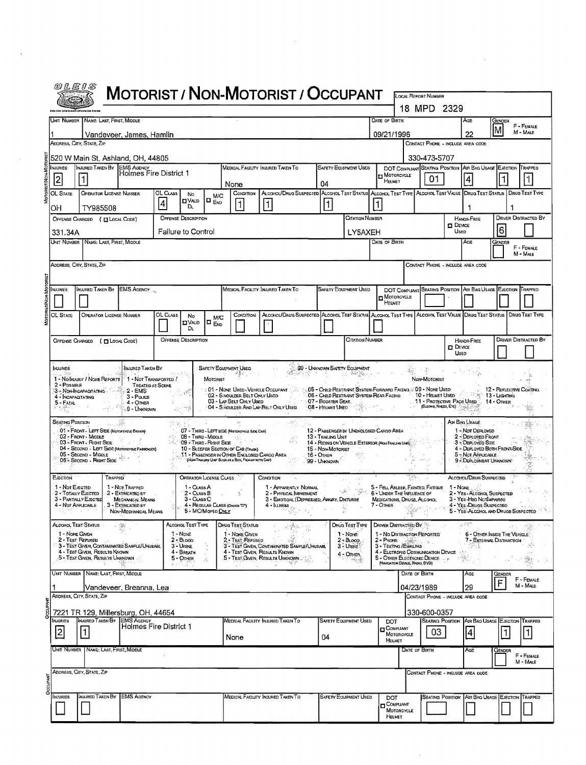|                                                     | <b>MOTORIST / NON-MOTORIST / OCCUPANT</b>                                                                                                             |                                                                                |                                           |                                                                    |                                                    |                                                                                                          |                                                                                                                       |                                                                                                                                                                                                                                                  |                                                       |                                                                                                                                         |                             | 18 MPD 2329                                                                                                        |                               |                                                         |                                                                  |
|-----------------------------------------------------|-------------------------------------------------------------------------------------------------------------------------------------------------------|--------------------------------------------------------------------------------|-------------------------------------------|--------------------------------------------------------------------|----------------------------------------------------|----------------------------------------------------------------------------------------------------------|-----------------------------------------------------------------------------------------------------------------------|--------------------------------------------------------------------------------------------------------------------------------------------------------------------------------------------------------------------------------------------------|-------------------------------------------------------|-----------------------------------------------------------------------------------------------------------------------------------------|-----------------------------|--------------------------------------------------------------------------------------------------------------------|-------------------------------|---------------------------------------------------------|------------------------------------------------------------------|
|                                                     | Unit Number   Name: Last, First, Middle                                                                                                               |                                                                                |                                           |                                                                    |                                                    |                                                                                                          |                                                                                                                       |                                                                                                                                                                                                                                                  |                                                       | DATE OF BIRTH                                                                                                                           |                             |                                                                                                                    |                               | Age                                                     | Gender                                                           |
|                                                     |                                                                                                                                                       | Vandeveer, James, Hamlin                                                       |                                           |                                                                    |                                                    |                                                                                                          |                                                                                                                       |                                                                                                                                                                                                                                                  |                                                       | 09/21/1996                                                                                                                              |                             |                                                                                                                    |                               | 22                                                      | M                                                                |
|                                                     | ADDRESS, CITY, STATE, ZIP                                                                                                                             |                                                                                |                                           |                                                                    |                                                    |                                                                                                          |                                                                                                                       |                                                                                                                                                                                                                                                  |                                                       |                                                                                                                                         |                             | CONTACT PHONE - INCLUDE AREA CODE                                                                                  |                               |                                                         |                                                                  |
|                                                     | 520 W Main St, Ashland, OH, 44805                                                                                                                     |                                                                                |                                           |                                                                    |                                                    |                                                                                                          |                                                                                                                       |                                                                                                                                                                                                                                                  |                                                       |                                                                                                                                         |                             | 330-473-5707                                                                                                       |                               |                                                         |                                                                  |
| <b>NJURIES</b><br>2                                 | INJURED TAKEN BY EMS AGENCY<br>$\vert$ 1                                                                                                              | Holmes Fire District 1                                                         |                                           |                                                                    |                                                    | None                                                                                                     | MEDICAL FACILITY INJURED TAKEN TO                                                                                     | 04                                                                                                                                                                                                                                               | SAFETY EQUIPMENT USED                                 | <b>H</b> MOTORCYCLE<br>HELMET                                                                                                           |                             | DOT COMPLIANT SEATING POSITION<br>01                                                                               |                               | 4                                                       | AIR BAG USAGE EJECTION TRAPPED                                   |
| OL STATE                                            | OPERATOR LICENSE NUMBER                                                                                                                               |                                                                                | OL Cuss<br>4                              | No<br><b>DVAID</b><br>DL.                                          | M/C<br>I END                                       | CONDITION<br>1                                                                                           | ALCOHOL/DRUG SUSPECTED ALCOHOL TEST STATUS ALCOHOL TEST TYPE ALCOHOL TEST VALUE DRUG TEST STATUS<br>$\vert$ 1         | 1                                                                                                                                                                                                                                                |                                                       |                                                                                                                                         |                             |                                                                                                                    |                               |                                                         | <b>DRUG TEST TYPE</b>                                            |
| OН                                                  | TY985508<br>OFFENSE CHARGED ( H LOCAL CODE)                                                                                                           |                                                                                |                                           | <b>OFFENSE DESCRIPTION</b>                                         |                                                    |                                                                                                          |                                                                                                                       |                                                                                                                                                                                                                                                  | CITATION NUMBER                                       |                                                                                                                                         |                             |                                                                                                                    |                               | HANDS-FREE                                              | <b>DRIVER DISTRACTED BY</b>                                      |
| 331.34A                                             |                                                                                                                                                       |                                                                                |                                           | Failure to Control                                                 |                                                    |                                                                                                          |                                                                                                                       |                                                                                                                                                                                                                                                  | LY5AXEH                                               |                                                                                                                                         |                             |                                                                                                                    | $\square$ Device<br>Useo      |                                                         | 6                                                                |
|                                                     | UNIT NUMBER   NAME: LAST, FIRST, MIDDLE                                                                                                               |                                                                                |                                           |                                                                    |                                                    |                                                                                                          |                                                                                                                       |                                                                                                                                                                                                                                                  |                                                       | Date of Birth                                                                                                                           |                             |                                                                                                                    |                               | Age                                                     | Gender                                                           |
|                                                     | ADDRESS, CITY, STATE, ZIP                                                                                                                             |                                                                                |                                           |                                                                    |                                                    |                                                                                                          |                                                                                                                       |                                                                                                                                                                                                                                                  |                                                       |                                                                                                                                         |                             | CONTACT PHONE - INCLUDE AREA CODE                                                                                  |                               |                                                         |                                                                  |
|                                                     |                                                                                                                                                       |                                                                                |                                           |                                                                    |                                                    |                                                                                                          |                                                                                                                       |                                                                                                                                                                                                                                                  |                                                       |                                                                                                                                         |                             |                                                                                                                    |                               |                                                         |                                                                  |
| <b>INJURIES</b>                                     | INJURED TAKEN BY EMS AGENCY                                                                                                                           |                                                                                |                                           |                                                                    |                                                    |                                                                                                          | MEDICAL FACILITY INJURED TAKEN TO                                                                                     |                                                                                                                                                                                                                                                  | SAFETY EQUIPMENT USED                                 | MOTORCYCLE                                                                                                                              |                             | DOT COMPLIANT SEATING POSITION AIR BAG USAGE EJECTION TRAPPED                                                      |                               |                                                         |                                                                  |
| OL STATE                                            | <b>OPERATOR LICENSE NUMBER</b>                                                                                                                        |                                                                                | OL CLASS                                  |                                                                    |                                                    | CONDITION                                                                                                | Alcohol/Drug Suspected Alcohol Test Status Alcohol Test Type Alcohol Test Value (Drug Test Status   Drug Test Type    |                                                                                                                                                                                                                                                  |                                                       | <b>HELMET</b>                                                                                                                           |                             |                                                                                                                    |                               |                                                         |                                                                  |
|                                                     |                                                                                                                                                       |                                                                                |                                           | No<br>Ω∨др<br>Dı.                                                  | M/C<br>$\Box$ $_{\text{EVD}}$                      |                                                                                                          |                                                                                                                       |                                                                                                                                                                                                                                                  |                                                       |                                                                                                                                         |                             |                                                                                                                    |                               |                                                         |                                                                  |
|                                                     | OFFENSE CHARGED ( [ LOCAL CODE)                                                                                                                       |                                                                                |                                           | <b>OFFENSE DESCRIPTION</b>                                         |                                                    |                                                                                                          |                                                                                                                       |                                                                                                                                                                                                                                                  | <b>CITATION NUMBER</b>                                |                                                                                                                                         |                             |                                                                                                                    |                               | <b>HANDS-FREE</b>                                       | <b>DRIVER DISTRACTED BY</b>                                      |
|                                                     |                                                                                                                                                       |                                                                                |                                           |                                                                    |                                                    |                                                                                                          |                                                                                                                       |                                                                                                                                                                                                                                                  |                                                       |                                                                                                                                         |                             |                                                                                                                    | $\Box$ Device<br><b>Lisep</b> |                                                         |                                                                  |
| 2 - Possible<br>5 - Fatal<br><b>SEATING POSTTON</b> | 1 - NO INJURY / NONE REPORTE<br>3 - Non-Incapacitating<br>4 - INCAPACITATING<br>01 - FRONT - LEFT SIDE (MOTOREYELE DRIVER)<br>02 - FRONT - MIDDLE     | INJURED TAKEN BY<br>$2 - EMS$<br>$3 - P$ outches<br>$4 -$ OTHER<br>9 - Unknown | 1 - NOT TRANSPORTED /<br>TREATED AT SCENE | 08 - Third - Middle                                                | SAFETY EQUIPMENT USED<br>MOTORIST                  | 02 - S HOULDER BELT ONLY USED<br>03 - LAP BELT ONLY USED<br>07 - THIRD - LEFT SIDE (MOTORCYGLE SIDE CAR) | : 01 - NONE USED - VEHICLE OCCUPANT<br>04 - SHOULDER AND LAP BELT ONLY USED                                           | 99 - UNKNOWN SAFETY EQUIPMENT<br>05 - Child Restrant System-Forward Facing @ 09 - None Used<br>06 - CHILD RESTRAINT SYSTEM-REAR FACING<br>07 - BOOSTER SEAT.<br>08 - HELMET UBED<br>12 - PASSENGER IN UNENCLOSED CARGO AREA<br>13 - Traling Unit | 化一种糖品                                                 |                                                                                                                                         |                             | NON-MOTORIST<br>10 - HELMET USED : 13 - LIGHTING<br>11 - PROTECTIVE PADS USED : 14 - OTHER<br>(Eusons, Krees, Ero) |                               | AIR BAG USAGE<br>1 - Not DEPLOYED<br>2 - DEPLOYED FRONT | 12 - REFLECTIVE COATING                                          |
|                                                     | 03 - Front - Right Stoe<br>04 - SECOND - LEFT SIDE (MOTORCYCLE PASSENDER)<br>05 - Second - Middle<br>06 - Second - Right Side                         |                                                                                |                                           | 09 - THIRD - RIGHT SIDE                                            |                                                    | 10 - SLEEPER SECTION OF CAB (TRUCK)<br>(NON-TRAILING UNIT SUCH AS A BUS, PICK-UP WITH CAP)               | 11 - Passenger in Other Enclosed Cargo Area                                                                           | 14 - RIOING ON VEHICLE EXTERIOR (Nov-TRAILING LINE)<br>15 - Non-Motorist<br>16 - OTHER<br>- 50<br>99 - UNKNOWN                                                                                                                                   |                                                       |                                                                                                                                         |                             |                                                                                                                    |                               | 3 - DEPLOYED SIDE<br>5 - NOT APPLICABLE                 | 4 - DEPLOYED BOTH FRONT SIDE<br>9 - DEPLOYMENT UNKNOWN           |
| EJECTION                                            | TRAPPED<br>1 - Not EJECTED<br>2 - TOTALLY ELECTED                                                                                                     | 1 - NOT TRAPPED<br>2 - EXTRICATED BY                                           |                                           | OPERATOR LICENSE CLASS<br>1 - Cuss A<br>2 CLASS B                  |                                                    |                                                                                                          | CONDITION<br>1 - APPARENTLY NORMAL<br>2 - PHYSICAL IMPARMENT                                                          |                                                                                                                                                                                                                                                  | w.                                                    | 5 - Fell Asleep, Fainted, Fatigue<br>6 - UNDER THE INFLUENCE OF                                                                         | B.                          |                                                                                                                    | $1 - Note$ .                  | ALCOHOL/DRUG SUSPECTED                                  | 2 - Yes - ALcohol Suspected                                      |
|                                                     | 3 - PARTIALLY EJECTED<br>4 - NOT APPLICABLE                                                                                                           | <b>MECHANICAL MEANS</b><br>3 - EXTRIGATED BY<br>NON-MECHANICAL MEANS           |                                           | 3 - CLASS C                                                        | 4 - REGULAR CLASS (ONOIS "D")<br>5 - MC/MoPED ON Y |                                                                                                          | 3 - EMOTIONL (DEPRESSED, ANGRY, DISTURBE<br>4 - ILLNESS                                                               |                                                                                                                                                                                                                                                  |                                                       | MEDICATIONS, DRUGS, ALCOHOL<br>7 - Other                                                                                                |                             |                                                                                                                    |                               | 3 - Yes - Han Noti up Aneo                              | 4 - YEs - DRUGS SUSPECTED<br>5 - YES-ALCOHOL AND DRUGS SUSPECTED |
|                                                     | Alcohol Test Status                                                                                                                                   | 9                                                                              |                                           | Alcohol Test Type                                                  |                                                    | DRUG TEST STATUS                                                                                         |                                                                                                                       |                                                                                                                                                                                                                                                  | DRUG TEST TYPE                                        | <b>DRIVER DISTRACTED BY</b>                                                                                                             |                             |                                                                                                                    |                               |                                                         |                                                                  |
|                                                     | 1 - Nove Given<br>2 - Test Refused<br>3 - TEST GIVEN, CONTAMINATED SAMPLE/UNUSABL<br>4 - TEST GIVEN, RESULTS KNOWN<br>5 - Test Given, Results Unknown |                                                                                |                                           | 1 - None<br>$2 - Bi$ oón<br>3 - URINE<br>4 - BREATH<br>$5 -$ OTHER | οğ,                                                | 1 - NONE GIVEN<br>2 - Test Refused                                                                       | 3 - TEST GIVEN, CONTAMINATED SAMPLE/UNUBABL<br>4 - Test Given, Results Known<br>5 - Test Given, Results Unknown<br>皆子 |                                                                                                                                                                                                                                                  | 1 - None<br>$2 - B$ LOOD<br>3 - URINE<br>$4 -$ Other. | 1 - No DISTRACTION REPORTED<br>2-PHONE A<br>3 - TEXTING / EMAILING<br>4 - ELCTRONIC COMMUNICATION DEVICE<br>5 - OTHER ELECTRONIC DEVICE |                             |                                                                                                                    |                               |                                                         | 6 - OTHER INSIDE THE VEHICLE<br>7 - EXTERNAL DISTRACTION         |
|                                                     | $\tilde{g}_1$<br>UNT NUMBER   NAME: LAST, FIRST, MIDDLE                                                                                               |                                                                                | e trang.                                  |                                                                    |                                                    |                                                                                                          |                                                                                                                       |                                                                                                                                                                                                                                                  |                                                       | (NAVIGATION DEVICE, RADIO, DVO)                                                                                                         | DATE OF BIRTH<br>04/23/1989 |                                                                                                                    |                               | Age<br>29                                               | Gender<br>F                                                      |
|                                                     | ADDRESS, CITY, STATE, ZIP                                                                                                                             | Vandeveer, Breanna, Lea                                                        |                                           |                                                                    |                                                    |                                                                                                          |                                                                                                                       |                                                                                                                                                                                                                                                  |                                                       |                                                                                                                                         |                             | CONTACT PHONE - INCLUDE AREA CODE                                                                                  |                               |                                                         |                                                                  |
|                                                     | 7221 TR 129, Millersburg, OH, 44654<br>INJURED TAKEN BY                                                                                               | <b>EMS AGENCY</b>                                                              |                                           |                                                                    |                                                    |                                                                                                          |                                                                                                                       |                                                                                                                                                                                                                                                  |                                                       |                                                                                                                                         |                             | 330-600-0357                                                                                                       |                               |                                                         |                                                                  |
| <b>NJURIES</b><br>2                                 | ۱۱,                                                                                                                                                   | <b>Holmes Fire District 1</b>                                                  |                                           |                                                                    |                                                    | None                                                                                                     | MEDICAL FACILITY INJURED TAKEN TO                                                                                     | 04                                                                                                                                                                                                                                               | <b>SAFETY EQUIPMENT USED</b>                          | DOT<br>COMPUMAT<br>MOTORCYCLE<br>HELMET                                                                                                 |                             | <b>SEATING POSITION</b><br>03                                                                                      |                               | $\vert 4 \vert$                                         | AIR BAG USAGE EJECTION<br>$\mathbf{1}$                           |
|                                                     | Unit Number   Name: Last, First, Middle                                                                                                               |                                                                                |                                           |                                                                    |                                                    |                                                                                                          |                                                                                                                       |                                                                                                                                                                                                                                                  |                                                       |                                                                                                                                         | DATE OF BIRTH               |                                                                                                                    |                               | AGE                                                     | Gender                                                           |
|                                                     | Address, City, State, Zip                                                                                                                             |                                                                                |                                           |                                                                    |                                                    |                                                                                                          |                                                                                                                       |                                                                                                                                                                                                                                                  |                                                       |                                                                                                                                         |                             | CONTACT PHONE - INCLUDE AREA CODE                                                                                  |                               |                                                         |                                                                  |
| NJURIES                                             |                                                                                                                                                       | <b>INJURED TAKEN BY FEMS AGENCY</b>                                            |                                           |                                                                    |                                                    |                                                                                                          | MEDICAL FACILITY INJURED TAKEN TO                                                                                     |                                                                                                                                                                                                                                                  | SAFETY EQUIPMENT USED                                 | DOT<br><b>D</b> COMPLIANT                                                                                                               |                             | <b>SEATING POSITION</b>                                                                                            |                               | AIR BAG USAGE                                           | EJECTION                                                         |

 $\hat{\mathcal{A}}$ 

 $\label{eq:2.1} \frac{1}{\sqrt{2}}\left(\frac{1}{\sqrt{2}}\right)^{2} \left(\frac{1}{\sqrt{2}}\right)^{2} \left(\frac{1}{\sqrt{2}}\right)^{2} \left(\frac{1}{\sqrt{2}}\right)^{2} \left(\frac{1}{\sqrt{2}}\right)^{2} \left(\frac{1}{\sqrt{2}}\right)^{2} \left(\frac{1}{\sqrt{2}}\right)^{2} \left(\frac{1}{\sqrt{2}}\right)^{2} \left(\frac{1}{\sqrt{2}}\right)^{2} \left(\frac{1}{\sqrt{2}}\right)^{2} \left(\frac{1}{\sqrt{2}}\right)^{2} \left(\$ 

 $\mathcal{L}^{\text{max}}_{\text{max}}$  and  $\mathcal{L}^{\text{max}}_{\text{max}}$ 

 $\mathbf{E}^{\text{max}}_{\text{max}}$  and  $\mathbf{E}^{\text{max}}_{\text{max}}$